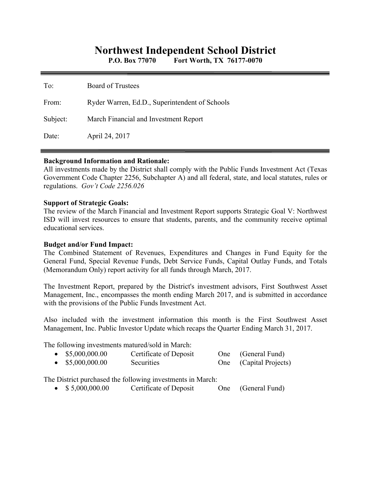# **Northwest Independent School District**

**P.O. Box 77070 Fort Worth, TX 76177-0070** 

| To:      | Board of Trustees                              |
|----------|------------------------------------------------|
| From:    | Ryder Warren, Ed.D., Superintendent of Schools |
| Subject: | March Financial and Investment Report          |
| Date:    | April 24, 2017                                 |

#### **Background Information and Rationale:**

All investments made by the District shall comply with the Public Funds Investment Act (Texas Government Code Chapter 2256, Subchapter A) and all federal, state, and local statutes, rules or regulations. *Gov't Code 2256.026* 

#### **Support of Strategic Goals:**

The review of the March Financial and Investment Report supports Strategic Goal V: Northwest ISD will invest resources to ensure that students, parents, and the community receive optimal educational services.

### **Budget and/or Fund Impact:**

The Combined Statement of Revenues, Expenditures and Changes in Fund Equity for the General Fund, Special Revenue Funds, Debt Service Funds, Capital Outlay Funds, and Totals (Memorandum Only) report activity for all funds through March, 2017.

The Investment Report, prepared by the District's investment advisors, First Southwest Asset Management, Inc., encompasses the month ending March 2017, and is submitted in accordance with the provisions of the Public Funds Investment Act.

Also included with the investment information this month is the First Southwest Asset Management, Inc. Public Investor Update which recaps the Quarter Ending March 31, 2017.

The following investments matured/sold in March:

| $\bullet$ \$5,000,000.00 | Certificate of Deposit | One (General Fund)     |
|--------------------------|------------------------|------------------------|
| $\bullet$ \$5,000,000.00 | Securities             | One (Capital Projects) |

The District purchased the following investments in March:

• \$5,000,000.00 Certificate of Deposit One (General Fund)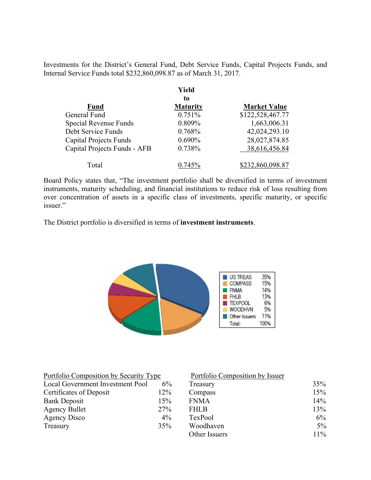Investments for the District's General Fund, Debt Service Funds, Capital Projects Funds, and Internal Service Funds total \$232,860,098.87 as of March 31, 2017.

|                               | Yield           |                     |
|-------------------------------|-----------------|---------------------|
|                               | to              |                     |
| <b>Fund</b>                   | <b>Maturity</b> | <b>Market Value</b> |
| General Fund                  | 0.751%          | \$122,528,467.77    |
| Special Revenue Funds         | 0.809%          | 1,663,006.31        |
| Debt Service Funds            | 0.768%          | 42,024,293.10       |
| <b>Capital Projects Funds</b> | $0.690\%$       | 28,027,874.85       |
| Capital Projects Funds - AFB  | 0.738%          | 38,616,456.84       |
| Total                         | $0.745\%$       | \$232,860,098.87    |

Board Policy states that, "The investment portfolio shall be diversified in terms of investment instruments, maturity scheduling, and financial institutions to reduce risk of loss resulting from over concentration of assets in a specific class of investments, specific maturity, or specific issuer."

The District portfolio is diversified in terms of **investment instruments**.



| Portfolio Composition by Security Type |       | Portfolio Composition by Issuer |       |
|----------------------------------------|-------|---------------------------------|-------|
| Local Government Investment Pool       | $6\%$ | Treasury                        | 35%   |
| Certificates of Deposit                | 12%   | Compass                         | 15%   |
| <b>Bank Deposit</b>                    | 15%   | <b>FNMA</b>                     | 14%   |
| <b>Agency Bullet</b>                   | 27%   | <b>FHLB</b>                     | 13%   |
| Agency Disco                           | $4\%$ | TexPool                         | 6%    |
| Treasury                               | 35%   | Woodhaven                       | $5\%$ |
|                                        |       | Other Issuers                   | 11%   |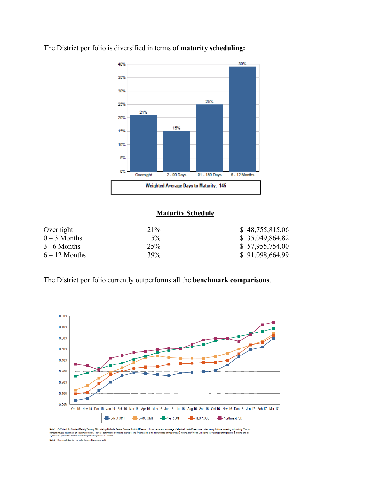

The District portfolio is diversified in terms of **maturity scheduling:** 

#### **Maturity Schedule**

| Overnight       | 21% | \$48,755,815.06 |
|-----------------|-----|-----------------|
| $0-3$ Months    | 15% | \$35,049,864.82 |
| $3 - 6$ Months  | 25% | \$57,955,754.00 |
| $6 - 12$ Months | 39% | \$91,098,664.99 |

The District portfolio currently outperforms all the **benchmark comparisons**.



.<br>standard industry forchmank for Treasury Frassury. This data is published in Federal Reserve Statistical Release H.15 and repre<br>standard industry forchmank for Treasury securities. The CMT benchmanks are moving averages. rage of all actively traded Treasury securities having that time remaini<br>eprevious 3 months, the 6-month CMT is the daily average for the pre ning until maturity. This is a<br>revious 6 months, and the ents an ar rage for the pre Note 2: Benchmark data for TexPool is the monthly average yield.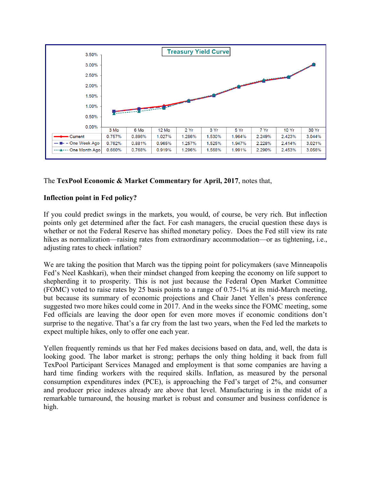

## The **TexPool Economic & Market Commentary for April, 2017**, notes that,

## **Inflection point in Fed policy?**

If you could predict swings in the markets, you would, of course, be very rich. But inflection points only get determined after the fact. For cash managers, the crucial question these days is whether or not the Federal Reserve has shifted monetary policy. Does the Fed still view its rate hikes as normalization—raising rates from extraordinary accommodation—or as tightening, i.e., adjusting rates to check inflation?

We are taking the position that March was the tipping point for policymakers (save Minneapolis Fed's Neel Kashkari), when their mindset changed from keeping the economy on life support to shepherding it to prosperity. This is not just because the Federal Open Market Committee (FOMC) voted to raise rates by 25 basis points to a range of 0.75-1% at its mid-March meeting, but because its summary of economic projections and Chair Janet Yellen's press conference suggested two more hikes could come in 2017. And in the weeks since the FOMC meeting, some Fed officials are leaving the door open for even more moves if economic conditions don't surprise to the negative. That's a far cry from the last two years, when the Fed led the markets to expect multiple hikes, only to offer one each year.

Yellen frequently reminds us that her Fed makes decisions based on data, and, well, the data is looking good. The labor market is strong; perhaps the only thing holding it back from full TexPool Participant Services Managed and employment is that some companies are having a hard time finding workers with the required skills. Inflation, as measured by the personal consumption expenditures index (PCE), is approaching the Fed's target of 2%, and consumer and producer price indexes already are above that level. Manufacturing is in the midst of a remarkable turnaround, the housing market is robust and consumer and business confidence is high.